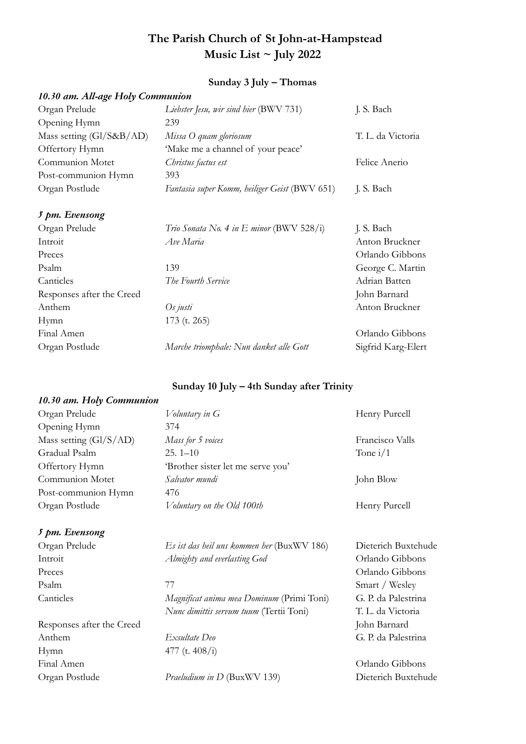# **The Parish Church of St John-at-Hampstead Music List ~ July 2022**

# **Sunday 3 July – Thomas**

|  | 10.30 am. All-age Holy Communion |  |  |  |  |
|--|----------------------------------|--|--|--|--|
|  |                                  |  |  |  |  |

| Liebster Jesu, wir sind hier (BWV 731)          | J. S. Bach        |
|-------------------------------------------------|-------------------|
| 239                                             |                   |
| Missa O quam gloriosum                          | T. L. da Victoria |
| 'Make me a channel of your peace'               |                   |
| Christus factus est                             | Felice Anerio     |
| 393                                             |                   |
| Fantasia super Komm, heiliger Geist (BWV 651)   | J. S. Bach        |
|                                                 |                   |
| <i>Trio Sonata No. 4 in E minor</i> (BWV 528/i) | J. S. Bach        |
| Ave Maria                                       | Anton Bruckner    |
|                                                 | Orlando Gibbons   |
|                                                 |                   |

| Preces                    |                                         | Orlando Gibbons    |
|---------------------------|-----------------------------------------|--------------------|
| Psalm                     | 139                                     | George C. Martin   |
| Canticles                 | The Fourth Service                      | Adrian Batten      |
| Responses after the Creed |                                         | John Barnard       |
| Anthem                    | Os justi                                | Anton Bruckner     |
| Hymn                      | $173$ (t. 265)                          |                    |
| Final Amen                |                                         | Orlando Gibbons    |
| Organ Postlude            | Marche triomphale: Nun danket alle Gott | Sigfrid Karg-Elert |

#### **Sunday 10 July – 4th Sunday after Trinity**

#### *10.30 am. Holy Communion*

| Organ Prelude            | Voluntary in G                    | Henry Purcell   |
|--------------------------|-----------------------------------|-----------------|
| Opening Hymn             | 374                               |                 |
| Mass setting $(GI/S/AD)$ | Mass for 5 voices                 | Francisco Valls |
| Gradual Psalm            | $25.1 - 10$                       | Tone $i/1$      |
| Offertory Hymn           | 'Brother sister let me serve you' |                 |
| Communion Motet          | Salvator mundi                    | John Blow       |
| Post-communion Hymn      | 476                               |                 |
| Organ Postlude           | Voluntary on the Old 100th        | Henry Purcell   |
|                          |                                   |                 |

#### *5 pm. Evensong*

Responses after the Creed John Barnard Anthem *Exsultate Deo* G. P. da Palestrina Hymn 477 (t. 408/i) Final Amen Orlando Gibbons

Organ Prelude *Es ist das heil uns kommen her* (BuxWV 186) Dieterich Buxtehude Introit *Almighty and everlasting God* Orlando Gibbons

Psalm 77 Smart / Wesley Canticles *Magnificat anima mea Dominum* (Primi Toni) G. P. da Palestrina *Nunc dimittis servum tuum* (Tertii Toni) T. L. da Victoria

Organ Postlude *Praeludium in D* (BuxWV 139) Dieterich Buxtehude

Preces Orlando Gibbons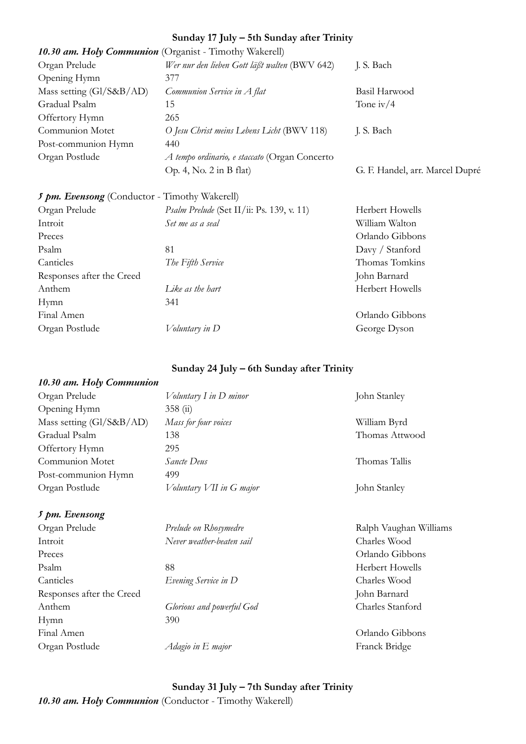## **Sunday 17 July – 5th Sunday after Trinity**

| 10.30 am. Holy Communion (Organist - Timothy Wakerell) |                                               |                                 |
|--------------------------------------------------------|-----------------------------------------------|---------------------------------|
| Organ Prelude                                          | Wer nur den lieben Gott läßt walten (BWV 642) | J. S. Bach                      |
| Opening Hymn                                           | 377                                           |                                 |
| Mass setting (Gl/S&B/AD)                               | Communion Service in A flat                   | Basil Harwood                   |
| Gradual Psalm                                          | 15                                            | Tone iv/ $4$                    |
| Offertory Hymn                                         | 265                                           |                                 |
| Communion Motet                                        | O Jesu Christ meins Lebens Licht (BWV 118)    | J. S. Bach                      |
| Post-communion Hymn                                    | 440                                           |                                 |
| Organ Postlude                                         | A tempo ordinario, e staccato (Organ Concerto |                                 |
|                                                        | Op. 4, No. $2$ in B flat)                     | G. F. Handel, arr. Marcel Dupré |

| 5 pm. Evensong (Conductor - Timothy Wakerell) |                                           |                 |
|-----------------------------------------------|-------------------------------------------|-----------------|
| Organ Prelude                                 | Psalm Prelude (Set II/ii: Ps. 139, v. 11) | Herbert Howells |
| Introit                                       | Set me as a seal                          | William Walton  |
| Preces                                        |                                           | Orlando Gibbons |
| Psalm                                         | 81                                        | Davy / Stanford |
| Canticles                                     | The Fifth Service                         | Thomas Tomkins  |
| Responses after the Creed                     |                                           | John Barnard    |
| Anthem                                        | <i>Like as the hart</i>                   | Herbert Howells |
| Hymn                                          | 341                                       |                 |
| Final Amen                                    |                                           | Orlando Gibbons |
| Organ Postlude                                | Voluntary in D                            | George Dyson    |

**Sunday 24 July – 6th Sunday after Trinity**

## *10.30 am. Holy Communion*

| Voluntary I in D minor   | John Stanley   |
|--------------------------|----------------|
| 358(i)                   |                |
| Mass for four voices     | William Byrd   |
| 138                      | Thomas Attwood |
| 295                      |                |
| <i>Sancte Deus</i>       | Thomas Tallis  |
| 499                      |                |
| Voluntary VII in G major | John Stanley   |
|                          |                |

#### *5 pm. Evensong*

Introit *Never weather-beaten sail* Charles Wood Preces Orlando Gibbons Psalm 88 Herbert Howells Canticles *Evening Service in D* Charles Wood Responses after the Creed John Barnard Anthem *Glorious and powerful God* Charles Stanford Hymn 390 Final Amen Orlando Gibbons Organ Postlude *Adagio in E major* Franck Bridge

Organ Prelude *Prelude on Rhosymedre* Ralph Vaughan Williams